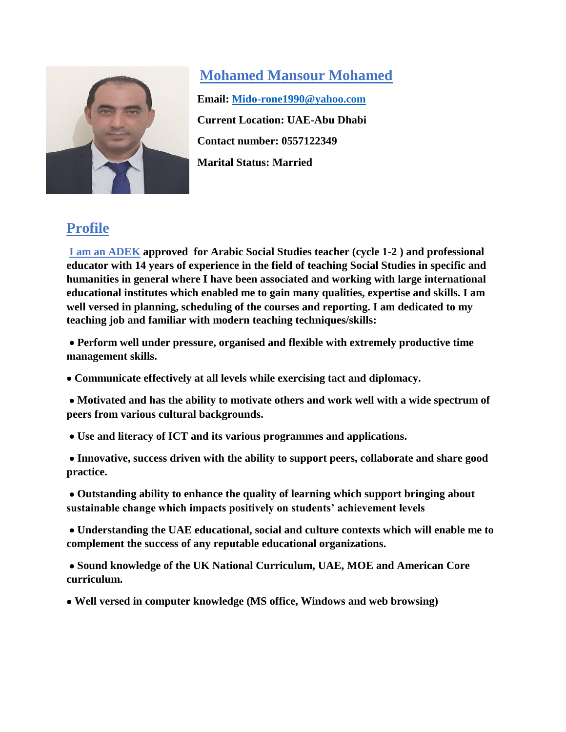

**Mohamed Mansour Mohamed Email: [Mido-rone1990@yahoo.com](mailto:Mido-rone1990@yahoo.com)  Current Location: UAE-Abu Dhabi Contact number: 0557122349 Marital Status: Married**

# **Profile**

**I am an ADEK approved for Arabic Social Studies teacher (cycle 1-2 ) and professional educator with 14 years of experience in the field of teaching Social Studies in specific and humanities in general where I have been associated and working with large international educational institutes which enabled me to gain many qualities, expertise and skills. I am well versed in planning, scheduling of the courses and reporting. I am dedicated to my teaching job and familiar with modern teaching techniques/skills:**

 **Perform well under pressure, organised and flexible with extremely productive time management skills.** 

**Communicate effectively at all levels while exercising tact and diplomacy.**

 **Motivated and has the ability to motivate others and work well with a wide spectrum of peers from various cultural backgrounds.**

**Use and literacy of ICT and its various programmes and applications.**

 **Innovative, success driven with the ability to support peers, collaborate and share good practice.**

 **Outstanding ability to enhance the quality of learning which support bringing about sustainable change which impacts positively on students' achievement levels**

 **Understanding the UAE educational, social and culture contexts which will enable me to complement the success of any reputable educational organizations.**

 **Sound knowledge of the UK National Curriculum, UAE, MOE and American Core curriculum.** 

**Well versed in computer knowledge (MS office, Windows and web browsing)**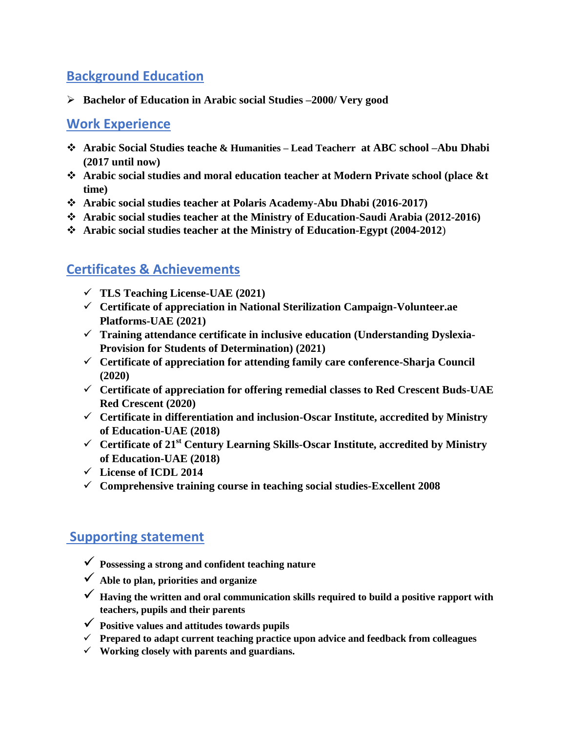## **Background Education**

**Bachelor of Education in Arabic social Studies –2000/ Very good**

#### **Work Experience**

- **Arabic Social Studies teache & Humanities – Lead Teacherr at ABC school –Abu Dhabi (2017 until now)**
- **Arabic social studies and moral education teacher at Modern Private school (place &t time)**
- **Arabic social studies teacher at Polaris Academy-Abu Dhabi (2016-2017)**
- **Arabic social studies teacher at the Ministry of Education-Saudi Arabia (2012-2016)**
- **Arabic social studies teacher at the Ministry of Education-Egypt (2004-2012**)

### **Certificates & Achievements**

- **TLS Teaching License-UAE (2021)**
- **Certificate of appreciation in National Sterilization Campaign-Volunteer.ae Platforms-UAE (2021)**
- **Training attendance certificate in inclusive education (Understanding Dyslexia-Provision for Students of Determination) (2021)**
- **Certificate of appreciation for attending family care conference-Sharja Council (2020)**
- **Certificate of appreciation for offering remedial classes to Red Crescent Buds-UAE Red Crescent (2020)**
- **Certificate in differentiation and inclusion-Oscar Institute, accredited by Ministry of Education-UAE (2018)**
- **Certificate of 21st Century Learning Skills-Oscar Institute, accredited by Ministry of Education-UAE (2018)**
- **License of ICDL 2014**
- **Comprehensive training course in teaching social studies-Excellent 2008**

# **Supporting statement**

- **Possessing a strong and confident teaching nature**
- **Able to plan, priorities and organize**
- **Having the written and oral communication skills required to build a positive rapport with teachers, pupils and their parents**
- **Positive values and attitudes towards pupils**
- **Prepared to adapt current teaching practice upon advice and feedback from colleagues**
- **Working closely with parents and guardians.**